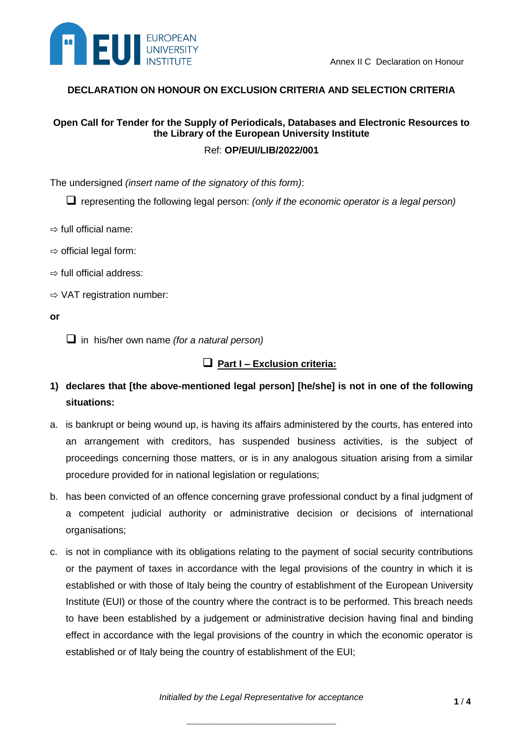

### **DECLARATION ON HONOUR ON EXCLUSION CRITERIA AND SELECTION CRITERIA**

# **Open Call for Tender for the Supply of Periodicals, Databases and Electronic Resources to the Library of the European University Institute**

Ref: **OP/EUI/LIB/2022/001**

The undersigned *(insert name of the signatory of this form)*:

representing the following legal person: *(only if the economic operator is a legal person)*

- $\Rightarrow$  full official name:
- $\Rightarrow$  official legal form:
- $\Rightarrow$  full official address:
- ⇨ VAT registration number:
- **or**

in his/her own name *(for a natural person)*

## **Part I – Exclusion criteria:**

## **1) declares that [the above-mentioned legal person] [he/she] is not in one of the following situations:**

- a. is bankrupt or being wound up, is having its affairs administered by the courts, has entered into an arrangement with creditors, has suspended business activities, is the subject of proceedings concerning those matters, or is in any analogous situation arising from a similar procedure provided for in national legislation or regulations;
- b. has been convicted of an offence concerning grave professional conduct by a final judgment of a competent judicial authority or administrative decision or decisions of international organisations;
- c. is not in compliance with its obligations relating to the payment of social security contributions or the payment of taxes in accordance with the legal provisions of the country in which it is established or with those of Italy being the country of establishment of the European University Institute (EUI) or those of the country where the contract is to be performed. This breach needs to have been established by a judgement or administrative decision having final and binding effect in accordance with the legal provisions of the country in which the economic operator is established or of Italy being the country of establishment of the EUI;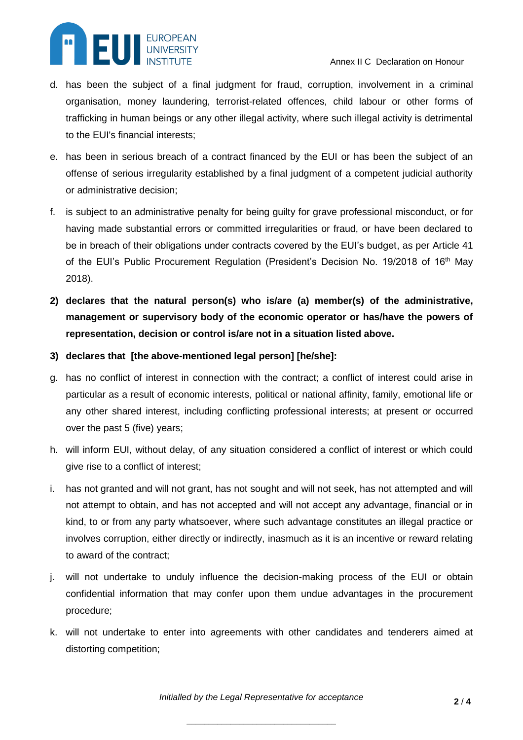

- d. has been the subject of a final judgment for fraud, corruption, involvement in a criminal organisation, money laundering, terrorist-related offences, child labour or other forms of trafficking in human beings or any other illegal activity, where such illegal activity is detrimental to the EUI's financial interests;
- e. has been in serious breach of a contract financed by the EUI or has been the subject of an offense of serious irregularity established by a final judgment of a competent judicial authority or administrative decision;
- f. is subject to an administrative penalty for being guilty for grave professional misconduct, or for having made substantial errors or committed irregularities or fraud, or have been declared to be in breach of their obligations under contracts covered by the EUI's budget, as per Article 41 of the EUI's Public Procurement Regulation (President's Decision No. 19/2018 of 16<sup>th</sup> May 2018).
- **2) declares that the natural person(s) who is/are (a) member(s) of the administrative, management or supervisory body of the economic operator or has/have the powers of representation, decision or control is/are not in a situation listed above.**
- **3) declares that [the above-mentioned legal person] [he/she]:**
- g. has no conflict of interest in connection with the contract; a conflict of interest could arise in particular as a result of economic interests, political or national affinity, family, emotional life or any other shared interest, including conflicting professional interests; at present or occurred over the past 5 (five) years;
- h. will inform EUI, without delay, of any situation considered a conflict of interest or which could give rise to a conflict of interest;
- i. has not granted and will not grant, has not sought and will not seek, has not attempted and will not attempt to obtain, and has not accepted and will not accept any advantage, financial or in kind, to or from any party whatsoever, where such advantage constitutes an illegal practice or involves corruption, either directly or indirectly, inasmuch as it is an incentive or reward relating to award of the contract;
- j. will not undertake to unduly influence the decision-making process of the EUI or obtain confidential information that may confer upon them undue advantages in the procurement procedure;
- k. will not undertake to enter into agreements with other candidates and tenderers aimed at distorting competition;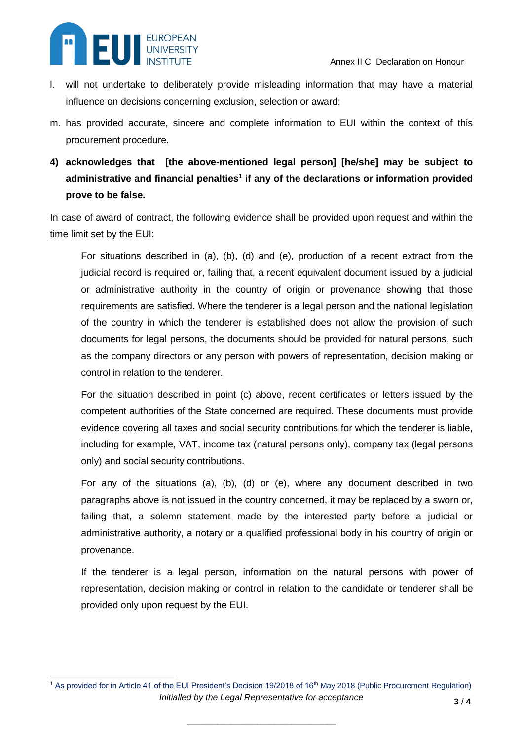

 $\overline{a}$ 

- l. will not undertake to deliberately provide misleading information that may have a material influence on decisions concerning exclusion, selection or award;
- m. has provided accurate, sincere and complete information to EUI within the context of this procurement procedure.
- **4) acknowledges that****[the above-mentioned legal person] [he/she] may be subject to administrative and financial penalties<sup>1</sup> if any of the declarations or information provided prove to be false.**

In case of award of contract, the following evidence shall be provided upon request and within the time limit set by the EUI:

For situations described in (a), (b), (d) and (e), production of a recent extract from the judicial record is required or, failing that, a recent equivalent document issued by a judicial or administrative authority in the country of origin or provenance showing that those requirements are satisfied. Where the tenderer is a legal person and the national legislation of the country in which the tenderer is established does not allow the provision of such documents for legal persons, the documents should be provided for natural persons, such as the company directors or any person with powers of representation, decision making or control in relation to the tenderer.

For the situation described in point (c) above, recent certificates or letters issued by the competent authorities of the State concerned are required. These documents must provide evidence covering all taxes and social security contributions for which the tenderer is liable, including for example, VAT, income tax (natural persons only), company tax (legal persons only) and social security contributions.

For any of the situations (a), (b), (d) or (e), where any document described in two paragraphs above is not issued in the country concerned, it may be replaced by a sworn or, failing that, a solemn statement made by the interested party before a judicial or administrative authority, a notary or a qualified professional body in his country of origin or provenance.

If the tenderer is a legal person, information on the natural persons with power of representation, decision making or control in relation to the candidate or tenderer shall be provided only upon request by the EUI.

*Initialled by the Legal Representative for acceptance* <sup>1</sup> As provided for in Article 41 of the EUI President's Decision 19/2018 of 16<sup>th</sup> May 2018 (Public Procurement Regulation)